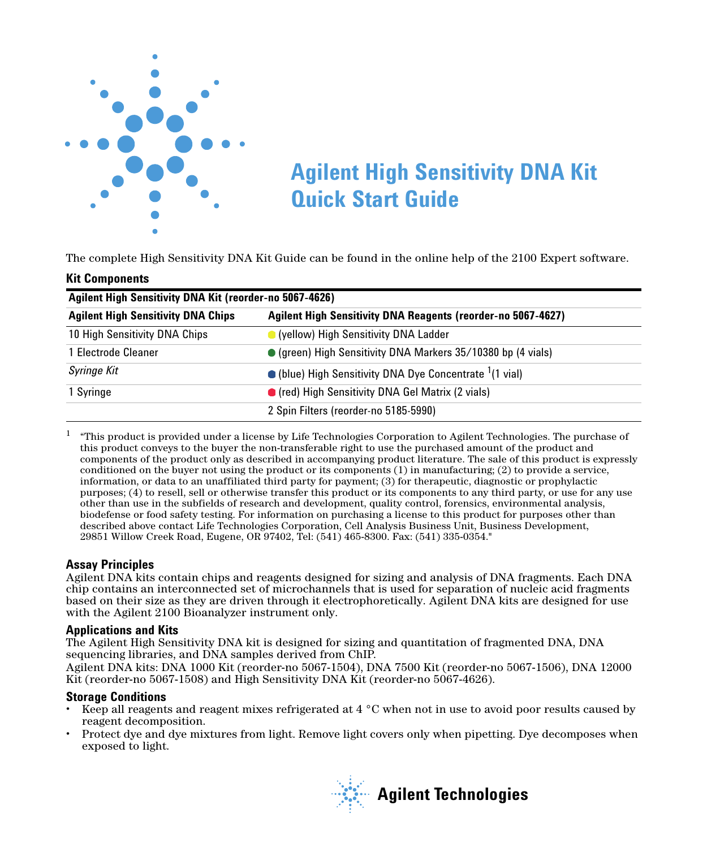

# **Agilent High Sensitivity DNA Kit Quick Start Guide**

The complete High Sensitivity DNA Kit Guide can be found in the online help of the 2100 Expert software.

#### **Kit Components**

| Agilent High Sensitivity DNA Kit (reorder-no 5067-4626)                                                                                                                                   |                                                                          |                     |
|-------------------------------------------------------------------------------------------------------------------------------------------------------------------------------------------|--------------------------------------------------------------------------|---------------------|
| <b>Agilent High Sensitivity DNA Reagents (reorder-no 5067-4627)</b><br><b>Agilent High Sensitivity DNA Chips</b><br>10 High Sensitivity DNA Chips<br>(yellow) High Sensitivity DNA Ladder |                                                                          |                     |
|                                                                                                                                                                                           |                                                                          | 1 Electrode Cleaner |
| Syringe Kit                                                                                                                                                                               | $\bullet$ (blue) High Sensitivity DNA Dye Concentrate $(1 \text{ vial})$ |                     |
| 1 Syringe                                                                                                                                                                                 | • (red) High Sensitivity DNA Gel Matrix (2 vials)                        |                     |
|                                                                                                                                                                                           | 2 Spin Filters (reorder-no 5185-5990)                                    |                     |

 $1$  "This product is provided under a license by Life Technologies Corporation to Agilent Technologies. The purchase of this product conveys to the buyer the non-transferable right to use the purchased amount of the product and components of the product only as described in accompanying product literature. The sale of this product is expressly conditioned on the buyer not using the product or its components (1) in manufacturing; (2) to provide a service, information, or data to an unaffiliated third party for payment; (3) for therapeutic, diagnostic or prophylactic purposes; (4) to resell, sell or otherwise transfer this product or its components to any third party, or use for any use other than use in the subfields of research and development, quality control, forensics, environmental analysis, biodefense or food safety testing. For information on purchasing a license to this product for purposes other than described above contact Life Technologies Corporation, Cell Analysis Business Unit, Business Development, 29851 Willow Creek Road, Eugene, OR 97402, Tel: (541) 465-8300. Fax: (541) 335-0354."

#### **Assay Principles**

Agilent DNA kits contain chips and reagents designed for sizing and analysis of DNA fragments. Each DNA chip contains an interconnected set of microchannels that is used for separation of nucleic acid fragments based on their size as they are driven through it electrophoretically. Agilent DNA kits are designed for use with the Agilent 2100 Bioanalyzer instrument only.

#### **Applications and Kits**

The Agilent High Sensitivity DNA kit is designed for sizing and quantitation of fragmented DNA, DNA sequencing libraries, and DNA samples derived from ChIP.

Agilent DNA kits: DNA 1000 Kit (reorder-no 5067-1504), DNA 7500 Kit (reorder-no 5067-1506), DNA 12000 Kit (reorder-no 5067-1508) and High Sensitivity DNA Kit (reorder-no 5067-4626).

#### **Storage Conditions**

- **•** Keep all reagents and reagent mixes refrigerated at 4 °C when not in use to avoid poor results caused by reagent decomposition.
- **•** Protect dye and dye mixtures from light. Remove light covers only when pipetting. Dye decomposes when exposed to light.

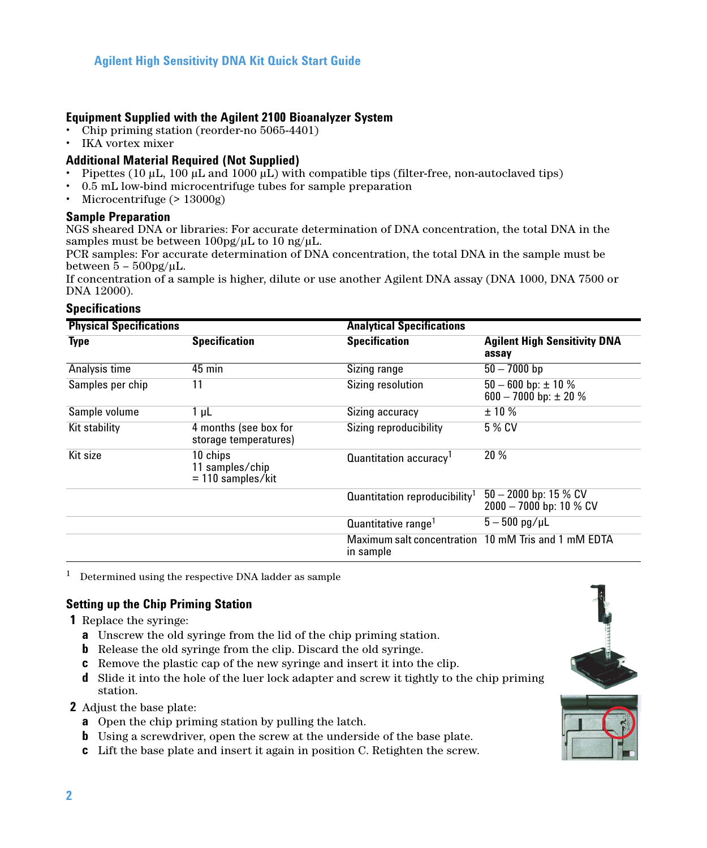# **Equipment Supplied with the Agilent 2100 Bioanalyzer System**

- **•** Chip priming station (reorder-no 5065-4401)
- **•** IKA vortex mixer

## **Additional Material Required (Not Supplied)**

- **•** Pipettes (10 μL, 100 μL and 1000 μL) with compatible tips (filter-free, non-autoclaved tips)
- **•** 0.5 mL low-bind microcentrifuge tubes for sample preparation
- **•** Microcentrifuge (> 13000g)

#### **Sample Preparation**

NGS sheared DNA or libraries: For accurate determination of DNA concentration, the total DNA in the samples must be between 100pg/μL to 10 ng/μL.

PCR samples: For accurate determination of DNA concentration, the total DNA in the sample must be between  $\bar{5}$  –  $500$ pg/µL.

If concentration of a sample is higher, dilute or use another Agilent DNA assay (DNA 1000, DNA 7500 or DNA 12000).

#### **Specifications**

| <b>Physical Specifications</b> |                                                    | <b>Analytical Specifications</b>          |                                                        |
|--------------------------------|----------------------------------------------------|-------------------------------------------|--------------------------------------------------------|
| <b>Type</b>                    | <b>Specification</b>                               | <b>Specification</b>                      | <b>Agilent High Sensitivity DNA</b><br>assay           |
| Analysis time                  | $45$ min                                           | Sizing range                              | $50 - 7000$ bp                                         |
| Samples per chip               | 11                                                 | Sizing resolution                         | $50 - 600$ bp: $\pm 10$ %<br>600 - 7000 bp: $\pm$ 20 % |
| Sample volume                  | 1 <sub>µ</sub>                                     | Sizing accuracy                           | ±10%                                                   |
| Kit stability                  | 4 months (see box for<br>storage temperatures)     | Sizing reproducibility                    | 5 % CV                                                 |
| Kit size                       | 10 chips<br>11 samples/chip<br>$= 110$ samples/kit | Quantitation accuracy <sup>1</sup>        | 20%                                                    |
|                                |                                                    | Quantitation reproducibility <sup>1</sup> | $50 - 2000$ bp: 15 % CV<br>2000 - 7000 bp: 10 % CV     |
|                                |                                                    | Quantitative range <sup>1</sup>           | $5 - 500$ pg/uL                                        |
|                                |                                                    | in sample                                 | Maximum salt concentration 10 mM Tris and 1 mM EDTA    |

 $1$  Determined using the respective DNA ladder as sample

# **Setting up the Chip Priming Station**

. **1** Replace the syringe:

- **a** Unscrew the old syringe from the lid of the chip priming station.
- **b** Release the old syringe from the clip. Discard the old syringe.
- **c** Remove the plastic cap of the new syringe and insert it into the clip.
- **d** Slide it into the hole of the luer lock adapter and screw it tightly to the chip priming station.

#### . **2** Adjust the base plate:

- **a** Open the chip priming station by pulling the latch.
- **b** Using a screwdriver, open the screw at the underside of the base plate.
- **c** Lift the base plate and insert it again in position C. Retighten the screw.

<span id="page-1-0"></span>

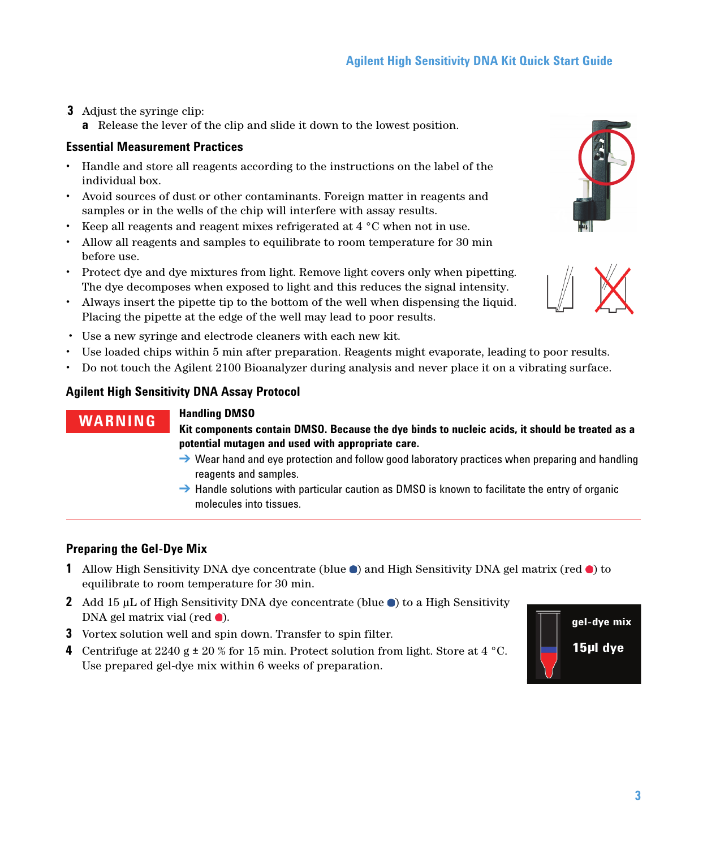- . **3** Adjust the syringe clip:
	- **a** Release the lever of the clip and slide it down to the lowest position.

# **Essential Measurement Practices**

- **•** Handle and store all reagents according to the instructions on the label of the individual box.
- **•** Avoid sources of dust or other contaminants. Foreign matter in reagents and samples or in the wells of the chip will interfere with assay results.
- **•** Keep all reagents and reagent mixes refrigerated at 4 °C when not in use.
- **•** Allow all reagents and samples to equilibrate to room temperature for 30 min before use.
- **•** Protect dye and dye mixtures from light. Remove light covers only when pipetting. The dye decomposes when exposed to light and this reduces the signal intensity.
- **•** Always insert the pipette tip to the bottom of the well when dispensing the liquid. Placing the pipette at the edge of the well may lead to poor results.
- **•** Use a new syringe and electrode cleaners with each new kit.
- **•** Use loaded chips within 5 min after preparation. Reagents might evaporate, leading to poor results.
- **•** Do not touch the Agilent 2100 Bioanalyzer during analysis and never place it on a vibrating surface.

# **Agilent High Sensitivity DNA Assay Protocol**

# **WARNING Handling DMSO**

**Kit components contain DMSO. Because the dye binds to nucleic acids, it should be treated as a potential mutagen and used with appropriate care.** 

- $\rightarrow$  Wear hand and eye protection and follow good laboratory practices when preparing and handling reagents and samples.
- $\rightarrow$  Handle solutions with particular caution as DMSO is known to facilitate the entry of organic molecules into tissues.

# **Preparing the Gel-Dye Mix**

- **1** Allow High Sensitivity DNA dye concentrate (blue  $\bullet$ ) and High Sensitivity DNA gel matrix (red  $\bullet$ ) to equilibrate to room temperature for 30 min.
- **2** Add 15  $\mu$ L of High Sensitivity DNA dye concentrate (blue  $\bullet$ ) to a High Sensitivity DNA gel matrix vial (red  $\bullet$ ).
- **3** Vortex solution well and spin down. Transfer to spin filter.
- **4** Centrifuge at 2240 g  $\pm$  20 % for 15 min. Protect solution from light. Store at 4 °C. Use prepared gel-dye mix within 6 weeks of preparation.